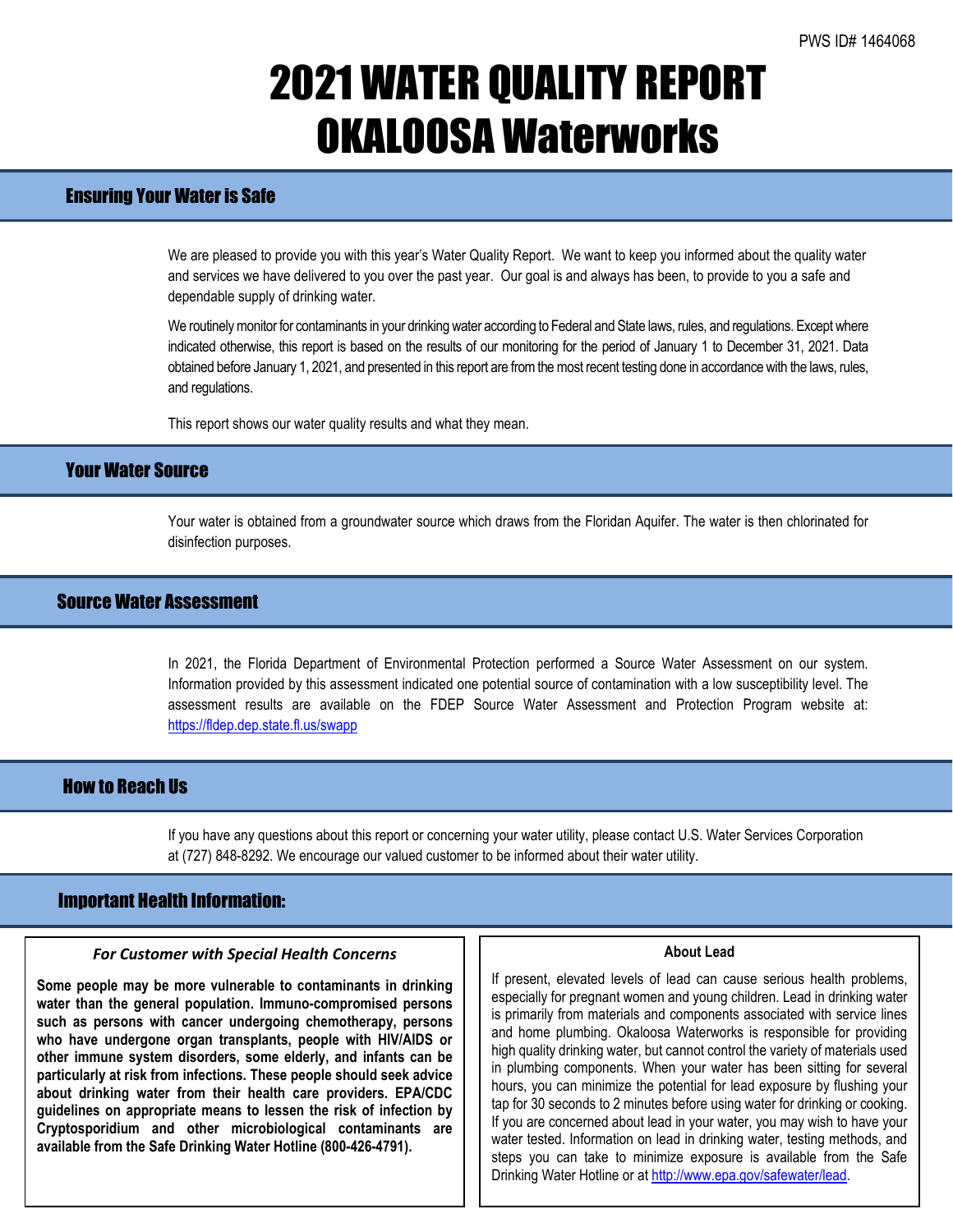# 2021 WATER QUALITY REPORT OKALOOSA Waterworks

## Ensuring Your Water is Safe

We are pleased to provide you with this year's Water Quality Report. We want to keep you informed about the quality water and services we have delivered to you over the past year. Our goal is and always has been, to provide to you a safe and dependable supply of drinking water.

We routinely monitor for contaminants in your drinking water according to Federal and State laws, rules, and regulations. Except where indicated otherwise, this report is based on the results of our monitoring for the period of January 1 to December 31, 2021. Data obtained before January 1, 2021, and presented in this report are from the most recent testing done in accordance with the laws, rules, and regulations.

This report shows our water quality results and what they mean.

## Your Water Source

Your water is obtained from a groundwater source which draws from the Floridan Aquifer. The water is then chlorinated for disinfection purposes.

## Source Water Assessment

In 2021, the Florida Department of Environmental Protection performed a Source Water Assessment on our system. Information provided by this assessment indicated one potential source of contamination with a low susceptibility level. The assessment results are available on the FDEP Source Water Assessment and Protection Program website at: <https://fldep.dep.state.fl.us/swapp>

## How to Reach Us

If you have any questions about this report or concerning your water utility, please contact U.S. Water Services Corporation at (727) 848-8292. We encourage our valued customer to be informed about their water utility.

## Important Health Information:

l

#### *For Customer with Special Health Concerns*

**Some people may be more vulnerable to contaminants in drinking water than the general population. Immuno-compromised persons such as persons with cancer undergoing chemotherapy, persons who have undergone organ transplants, people with HIV/AIDS or other immune system disorders, some elderly, and infants can be particularly at risk from infections. These people should seek advice about drinking water from their health care providers. EPA/CDC guidelines on appropriate means to lessen the risk of infection by Cryptosporidium and other microbiological contaminants are available from the Safe Drinking Water Hotline (800-426-4791).**

#### **About Lead**

If present, elevated levels of lead can cause serious health problems, especially for pregnant women and young children. Lead in drinking water is primarily from materials and components associated with service lines and home plumbing. Okaloosa Waterworks is responsible for providing high quality drinking water, but cannot control the variety of materials used in plumbing components. When your water has been sitting for several hours, you can minimize the potential for lead exposure by flushing your tap for 30 seconds to 2 minutes before using water for drinking or cooking. If you are concerned about lead in your water, you may wish to have your water tested. Information on lead in drinking water, testing methods, and steps you can take to minimize exposure is available from the Safe Drinking Water Hotline or at [http://www.epa.gov/safewater/lead.](http://www.epa.gov/safewater/lead)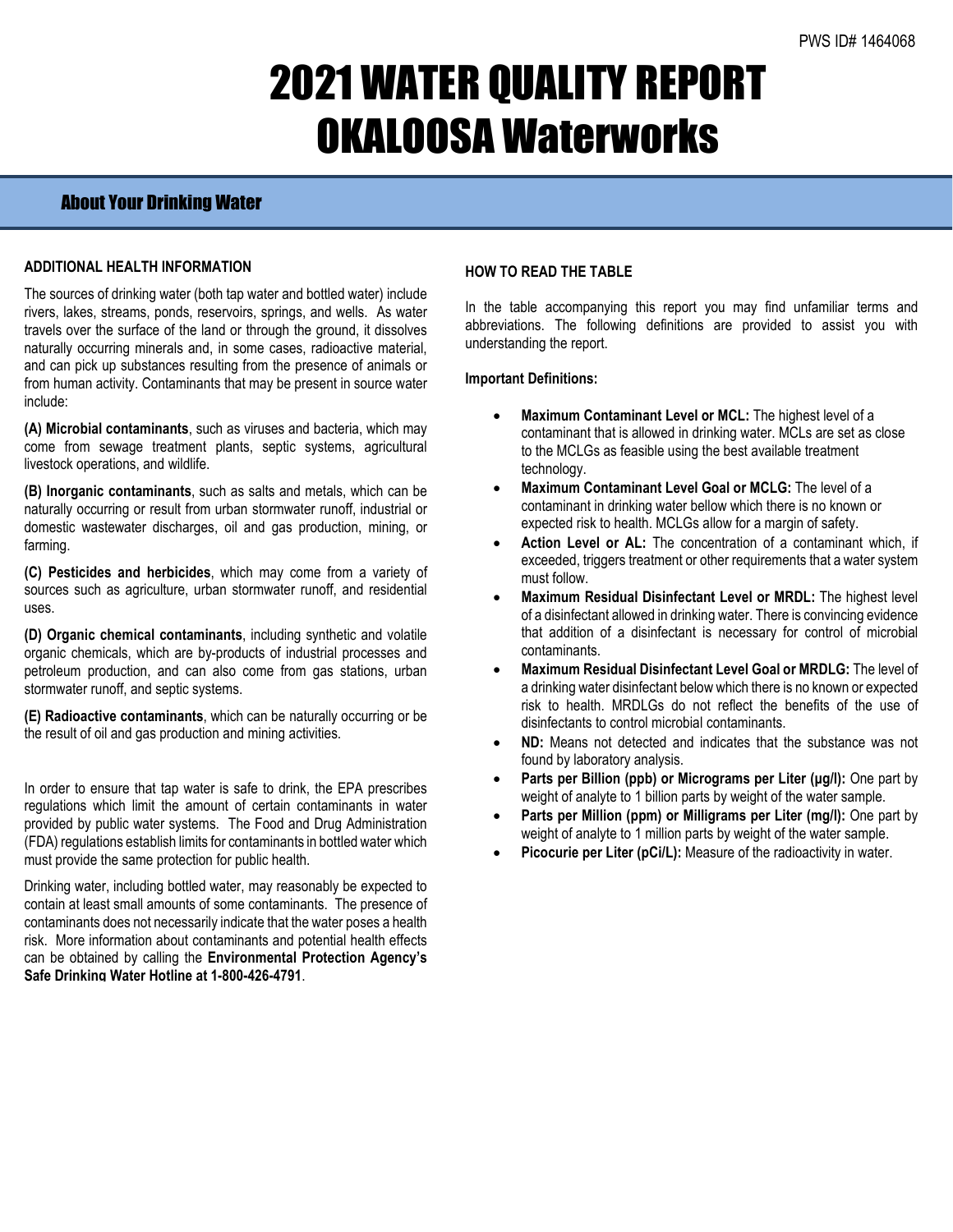# 2021 WATER QUALITY REPORT OKALOOSA Waterworks

## About Your Drinking Water

### **ADDITIONAL HEALTH INFORMATION**

The sources of drinking water (both tap water and bottled water) include rivers, lakes, streams, ponds, reservoirs, springs, and wells. As water travels over the surface of the land or through the ground, it dissolves naturally occurring minerals and, in some cases, radioactive material, and can pick up substances resulting from the presence of animals or from human activity. Contaminants that may be present in source water include:

**(A) Microbial contaminants**, such as viruses and bacteria, which may come from sewage treatment plants, septic systems, agricultural livestock operations, and wildlife.

**(B) Inorganic contaminants**, such as salts and metals, which can be naturally occurring or result from urban stormwater runoff, industrial or domestic wastewater discharges, oil and gas production, mining, or farming.

**(C) Pesticides and herbicides**, which may come from a variety of sources such as agriculture, urban stormwater runoff, and residential uses.

**(D) Organic chemical contaminants**, including synthetic and volatile organic chemicals, which are by-products of industrial processes and petroleum production, and can also come from gas stations, urban stormwater runoff, and septic systems.

**(E) Radioactive contaminants**, which can be naturally occurring or be the result of oil and gas production and mining activities.

In order to ensure that tap water is safe to drink, the EPA prescribes regulations which limit the amount of certain contaminants in water provided by public water systems. The Food and Drug Administration (FDA) regulations establish limits for contaminants in bottled water which must provide the same protection for public health.

Drinking water, including bottled water, may reasonably be expected to contain at least small amounts of some contaminants. The presence of contaminants does not necessarily indicate that the water poses a health risk. More information about contaminants and potential health effects can be obtained by calling the **Environmental Protection Agency's Safe Drinking Water Hotline at 1-800-426-4791**.

### **HOW TO READ THE TABLE**

In the table accompanying this report you may find unfamiliar terms and abbreviations. The following definitions are provided to assist you with understanding the report.

#### **Important Definitions:**

- **Maximum Contaminant Level or MCL:** The highest level of a contaminant that is allowed in drinking water. MCLs are set as close to the MCLGs as feasible using the best available treatment technology.
- **Maximum Contaminant Level Goal or MCLG:** The level of a contaminant in drinking water bellow which there is no known or expected risk to health. MCLGs allow for a margin of safety.
- Action Level or AL: The concentration of a contaminant which, if exceeded, triggers treatment or other requirements that a water system must follow.
- **Maximum Residual Disinfectant Level or MRDL:** The highest level of a disinfectant allowed in drinking water. There is convincing evidence that addition of a disinfectant is necessary for control of microbial contaminants.
- **Maximum Residual Disinfectant Level Goal or MRDLG:** The level of a drinking water disinfectant below which there is no known or expected risk to health. MRDLGs do not reflect the benefits of the use of disinfectants to control microbial contaminants.
- **ND:** Means not detected and indicates that the substance was not found by laboratory analysis.
- **Parts per Billion (ppb) or Micrograms per Liter (μg/l):** One part by weight of analyte to 1 billion parts by weight of the water sample.
- **Parts per Million (ppm) or Milligrams per Liter (mg/l):** One part by weight of analyte to 1 million parts by weight of the water sample.
- **Picocurie per Liter (pCi/L):** Measure of the radioactivity in water.